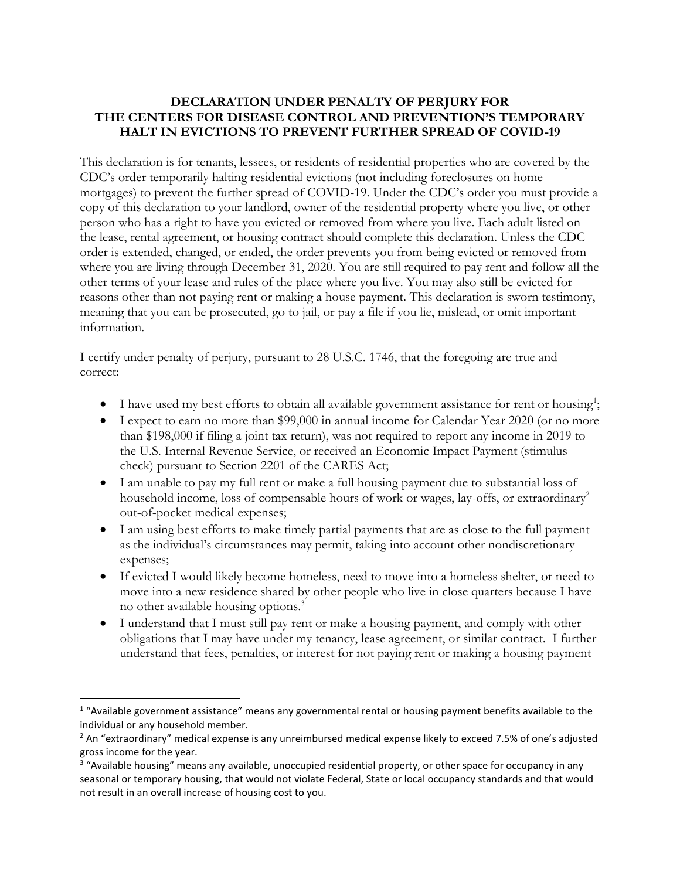## **DECLARATION UNDER PENALTY OF PERJURY FOR THE CENTERS FOR DISEASE CONTROL AND PREVENTION'S TEMPORARY HALT IN EVICTIONS TO PREVENT FURTHER SPREAD OF COVID-19**

This declaration is for tenants, lessees, or residents of residential properties who are covered by the CDC's order temporarily halting residential evictions (not including foreclosures on home mortgages) to prevent the further spread of COVID-19. Under the CDC's order you must provide a copy of this declaration to your landlord, owner of the residential property where you live, or other person who has a right to have you evicted or removed from where you live. Each adult listed on the lease, rental agreement, or housing contract should complete this declaration. Unless the CDC order is extended, changed, or ended, the order prevents you from being evicted or removed from where you are living through December 31, 2020. You are still required to pay rent and follow all the other terms of your lease and rules of the place where you live. You may also still be evicted for reasons other than not paying rent or making a house payment. This declaration is sworn testimony, meaning that you can be prosecuted, go to jail, or pay a file if you lie, mislead, or omit important information.

I certify under penalty of perjury, pursuant to 28 U.S.C. 1746, that the foregoing are true and correct:

- I have used my best efforts to obtain all available government assistance for rent or housing<sup>1</sup>;
- I expect to earn no more than \$99,000 in annual income for Calendar Year 2020 (or no more than \$198,000 if filing a joint tax return), was not required to report any income in 2019 to the U.S. Internal Revenue Service, or received an Economic Impact Payment (stimulus check) pursuant to Section 2201 of the CARES Act;
- I am unable to pay my full rent or make a full housing payment due to substantial loss of household income, loss of compensable hours of work or wages, lay-offs, or extraordinary<sup>2</sup> out-of-pocket medical expenses;
- I am using best efforts to make timely partial payments that are as close to the full payment as the individual's circumstances may permit, taking into account other nondiscretionary expenses;
- If evicted I would likely become homeless, need to move into a homeless shelter, or need to move into a new residence shared by other people who live in close quarters because I have no other available housing options.<sup>3</sup>
- I understand that I must still pay rent or make a housing payment, and comply with other obligations that I may have under my tenancy, lease agreement, or similar contract. I further understand that fees, penalties, or interest for not paying rent or making a housing payment

 $\overline{\phantom{a}}$ 

<sup>&</sup>lt;sup>1</sup> "Available government assistance" means any governmental rental or housing payment benefits available to the individual or any household member.

<sup>&</sup>lt;sup>2</sup> An "extraordinary" medical expense is any unreimbursed medical expense likely to exceed 7.5% of one's adjusted gross income for the year.

<sup>&</sup>lt;sup>3</sup> "Available housing" means any available, unoccupied residential property, or other space for occupancy in any seasonal or temporary housing, that would not violate Federal, State or local occupancy standards and that would not result in an overall increase of housing cost to you.